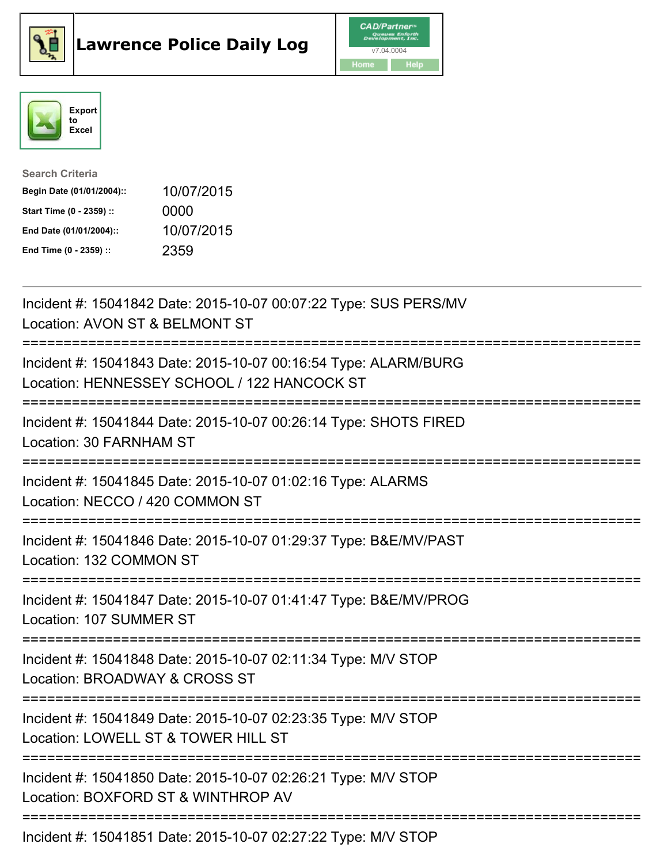





| <b>Search Criteria</b>    |            |
|---------------------------|------------|
| Begin Date (01/01/2004):: | 10/07/2015 |
| Start Time (0 - 2359) ::  | 0000       |
| End Date (01/01/2004)::   | 10/07/2015 |
| End Time (0 - 2359) ::    | 2359       |

| Incident #: 15041842 Date: 2015-10-07 00:07:22 Type: SUS PERS/MV<br>Location: AVON ST & BELMONT ST                                       |
|------------------------------------------------------------------------------------------------------------------------------------------|
| Incident #: 15041843 Date: 2015-10-07 00:16:54 Type: ALARM/BURG<br>Location: HENNESSEY SCHOOL / 122 HANCOCK ST<br>----------------       |
| Incident #: 15041844 Date: 2015-10-07 00:26:14 Type: SHOTS FIRED<br>Location: 30 FARNHAM ST<br>====================                      |
| Incident #: 15041845 Date: 2015-10-07 01:02:16 Type: ALARMS<br>Location: NECCO / 420 COMMON ST<br>=============                          |
| Incident #: 15041846 Date: 2015-10-07 01:29:37 Type: B&E/MV/PAST<br>Location: 132 COMMON ST<br>-------------------<br>------------------ |
| Incident #: 15041847 Date: 2015-10-07 01:41:47 Type: B&E/MV/PROG<br>Location: 107 SUMMER ST                                              |
| Incident #: 15041848 Date: 2015-10-07 02:11:34 Type: M/V STOP<br>Location: BROADWAY & CROSS ST<br>===========================            |
| Incident #: 15041849 Date: 2015-10-07 02:23:35 Type: M/V STOP<br>Location: LOWELL ST & TOWER HILL ST                                     |
| Incident #: 15041850 Date: 2015-10-07 02:26:21 Type: M/V STOP<br>Location: BOXFORD ST & WINTHROP AV                                      |
| Incident #: 15041851 Date: 2015-10-07 02:27:22 Type: M/V STOP                                                                            |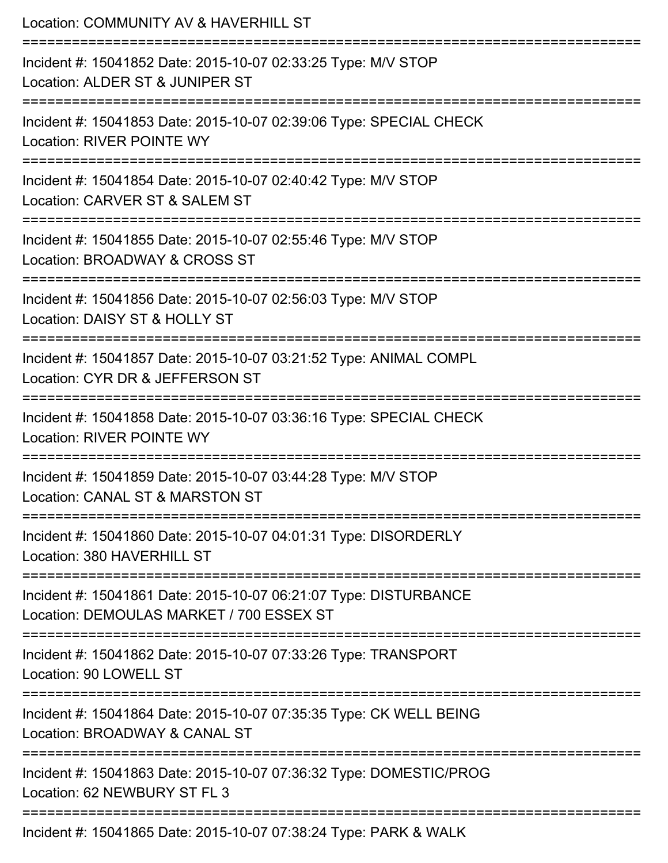| Location: COMMUNITY AV & HAVERHILL ST                                                                                                           |
|-------------------------------------------------------------------------------------------------------------------------------------------------|
| Incident #: 15041852 Date: 2015-10-07 02:33:25 Type: M/V STOP<br>Location: ALDER ST & JUNIPER ST<br>========================<br>=============== |
| Incident #: 15041853 Date: 2015-10-07 02:39:06 Type: SPECIAL CHECK<br><b>Location: RIVER POINTE WY</b>                                          |
| Incident #: 15041854 Date: 2015-10-07 02:40:42 Type: M/V STOP<br>Location: CARVER ST & SALEM ST                                                 |
| =========================<br>Incident #: 15041855 Date: 2015-10-07 02:55:46 Type: M/V STOP<br>Location: BROADWAY & CROSS ST                     |
| Incident #: 15041856 Date: 2015-10-07 02:56:03 Type: M/V STOP<br>Location: DAISY ST & HOLLY ST                                                  |
| :====================<br>Incident #: 15041857 Date: 2015-10-07 03:21:52 Type: ANIMAL COMPL<br>Location: CYR DR & JEFFERSON ST                   |
| Incident #: 15041858 Date: 2015-10-07 03:36:16 Type: SPECIAL CHECK<br><b>Location: RIVER POINTE WY</b>                                          |
| Incident #: 15041859 Date: 2015-10-07 03:44:28 Type: M/V STOP<br>Location: CANAL ST & MARSTON ST                                                |
| Incident #: 15041860 Date: 2015-10-07 04:01:31 Type: DISORDERLY<br>Location: 380 HAVERHILL ST                                                   |
| Incident #: 15041861 Date: 2015-10-07 06:21:07 Type: DISTURBANCE<br>Location: DEMOULAS MARKET / 700 ESSEX ST                                    |
| Incident #: 15041862 Date: 2015-10-07 07:33:26 Type: TRANSPORT<br>Location: 90 LOWELL ST                                                        |
| Incident #: 15041864 Date: 2015-10-07 07:35:35 Type: CK WELL BEING<br>Location: BROADWAY & CANAL ST                                             |
| Incident #: 15041863 Date: 2015-10-07 07:36:32 Type: DOMESTIC/PROG<br>Location: 62 NEWBURY ST FL 3                                              |
| Incident #: 15041865 Date: 2015-10-07 07:38:24 Type: PARK & WALK                                                                                |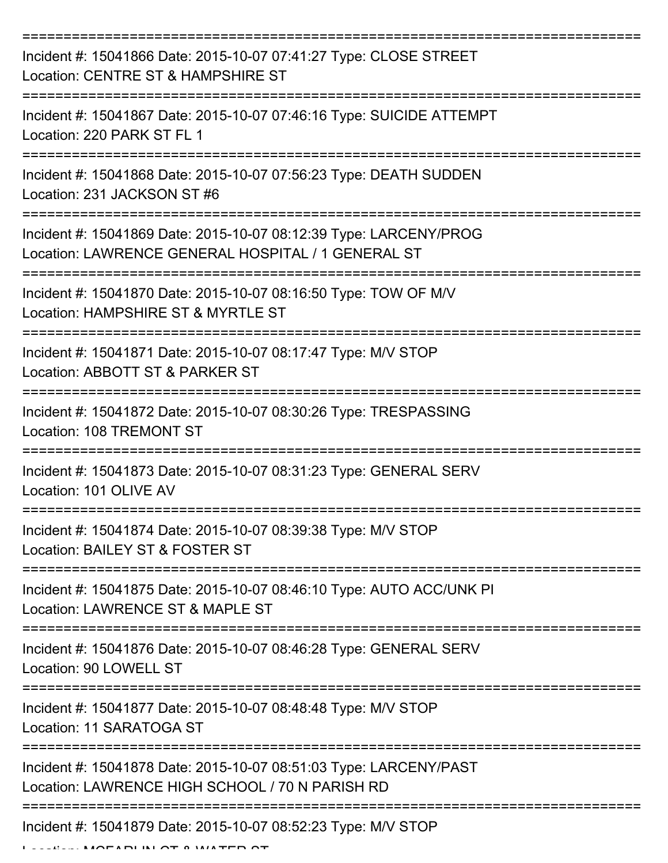| Incident #: 15041866 Date: 2015-10-07 07:41:27 Type: CLOSE STREET<br>Location: CENTRE ST & HAMPSHIRE ST                 |
|-------------------------------------------------------------------------------------------------------------------------|
| Incident #: 15041867 Date: 2015-10-07 07:46:16 Type: SUICIDE ATTEMPT<br>Location: 220 PARK ST FL 1                      |
| Incident #: 15041868 Date: 2015-10-07 07:56:23 Type: DEATH SUDDEN<br>Location: 231 JACKSON ST #6                        |
| Incident #: 15041869 Date: 2015-10-07 08:12:39 Type: LARCENY/PROG<br>Location: LAWRENCE GENERAL HOSPITAL / 1 GENERAL ST |
| Incident #: 15041870 Date: 2015-10-07 08:16:50 Type: TOW OF M/V<br>Location: HAMPSHIRE ST & MYRTLE ST                   |
| Incident #: 15041871 Date: 2015-10-07 08:17:47 Type: M/V STOP<br>Location: ABBOTT ST & PARKER ST                        |
| Incident #: 15041872 Date: 2015-10-07 08:30:26 Type: TRESPASSING<br>Location: 108 TREMONT ST                            |
| Incident #: 15041873 Date: 2015-10-07 08:31:23 Type: GENERAL SERV<br>Location: 101 OLIVE AV                             |
| Incident #: 15041874 Date: 2015-10-07 08:39:38 Type: M/V STOP<br>Location: BAILEY ST & FOSTER ST                        |
| Incident #: 15041875 Date: 2015-10-07 08:46:10 Type: AUTO ACC/UNK PI<br>Location: LAWRENCE ST & MAPLE ST                |
| Incident #: 15041876 Date: 2015-10-07 08:46:28 Type: GENERAL SERV<br>Location: 90 LOWELL ST                             |
| Incident #: 15041877 Date: 2015-10-07 08:48:48 Type: M/V STOP<br>Location: 11 SARATOGA ST                               |
| Incident #: 15041878 Date: 2015-10-07 08:51:03 Type: LARCENY/PAST<br>Location: LAWRENCE HIGH SCHOOL / 70 N PARISH RD    |
| Incident #: 15041879 Date: 2015-10-07 08:52:23 Type: M/V STOP<br>MACADI IN AT A IMATED.                                 |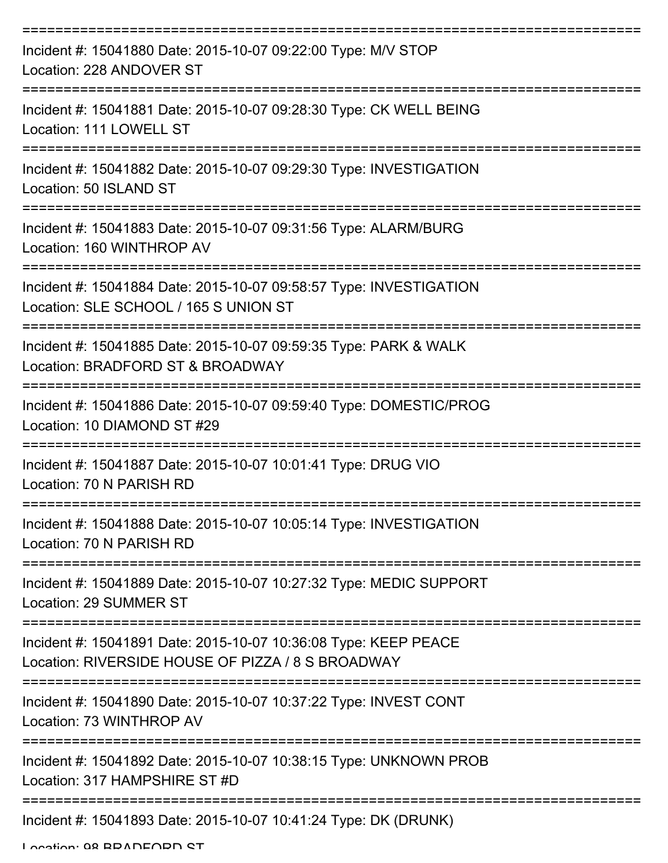| Incident #: 15041880 Date: 2015-10-07 09:22:00 Type: M/V STOP<br>Location: 228 ANDOVER ST                            |
|----------------------------------------------------------------------------------------------------------------------|
| Incident #: 15041881 Date: 2015-10-07 09:28:30 Type: CK WELL BEING<br>Location: 111 LOWELL ST                        |
| Incident #: 15041882 Date: 2015-10-07 09:29:30 Type: INVESTIGATION<br>Location: 50 ISLAND ST                         |
| Incident #: 15041883 Date: 2015-10-07 09:31:56 Type: ALARM/BURG<br>Location: 160 WINTHROP AV                         |
| Incident #: 15041884 Date: 2015-10-07 09:58:57 Type: INVESTIGATION<br>Location: SLE SCHOOL / 165 S UNION ST          |
| Incident #: 15041885 Date: 2015-10-07 09:59:35 Type: PARK & WALK<br>Location: BRADFORD ST & BROADWAY                 |
| Incident #: 15041886 Date: 2015-10-07 09:59:40 Type: DOMESTIC/PROG<br>Location: 10 DIAMOND ST #29<br>===========     |
| Incident #: 15041887 Date: 2015-10-07 10:01:41 Type: DRUG VIO<br>Location: 70 N PARISH RD                            |
| Incident #: 15041888 Date: 2015-10-07 10:05:14 Type: INVESTIGATION<br>Location: 70 N PARISH RD                       |
| Incident #: 15041889 Date: 2015-10-07 10:27:32 Type: MEDIC SUPPORT<br>Location: 29 SUMMER ST                         |
| Incident #: 15041891 Date: 2015-10-07 10:36:08 Type: KEEP PEACE<br>Location: RIVERSIDE HOUSE OF PIZZA / 8 S BROADWAY |
| Incident #: 15041890 Date: 2015-10-07 10:37:22 Type: INVEST CONT<br>Location: 73 WINTHROP AV                         |
| Incident #: 15041892 Date: 2015-10-07 10:38:15 Type: UNKNOWN PROB<br>Location: 317 HAMPSHIRE ST #D                   |
| Incident #: 15041893 Date: 2015-10-07 10:41:24 Type: DK (DRUNK)                                                      |

Location: 08 BDANEODN ST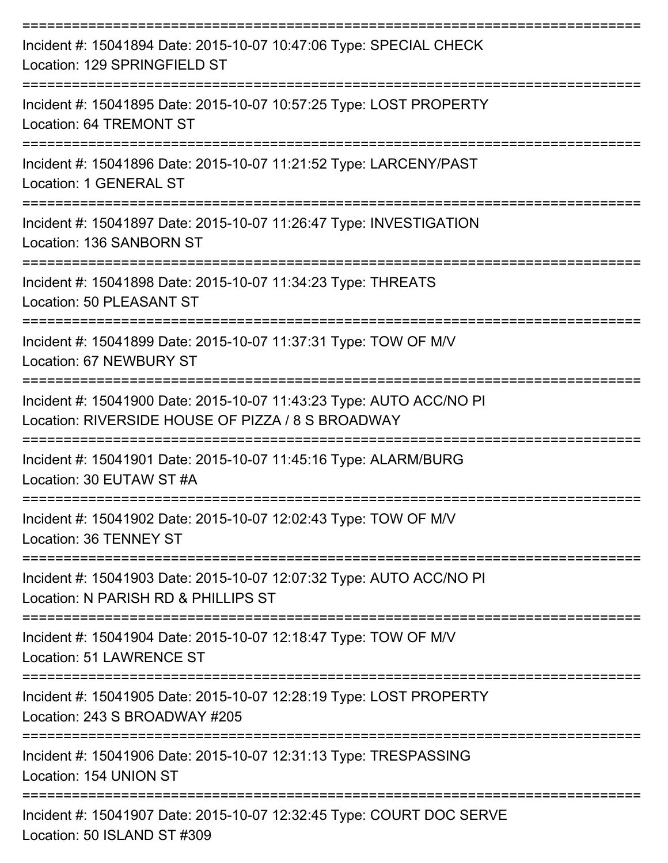| Incident #: 15041894 Date: 2015-10-07 10:47:06 Type: SPECIAL CHECK<br>Location: 129 SPRINGFIELD ST                       |
|--------------------------------------------------------------------------------------------------------------------------|
| Incident #: 15041895 Date: 2015-10-07 10:57:25 Type: LOST PROPERTY<br>Location: 64 TREMONT ST                            |
| Incident #: 15041896 Date: 2015-10-07 11:21:52 Type: LARCENY/PAST<br><b>Location: 1 GENERAL ST</b>                       |
| Incident #: 15041897 Date: 2015-10-07 11:26:47 Type: INVESTIGATION<br>Location: 136 SANBORN ST                           |
| Incident #: 15041898 Date: 2015-10-07 11:34:23 Type: THREATS<br>Location: 50 PLEASANT ST                                 |
| Incident #: 15041899 Date: 2015-10-07 11:37:31 Type: TOW OF M/V<br>Location: 67 NEWBURY ST                               |
| Incident #: 15041900 Date: 2015-10-07 11:43:23 Type: AUTO ACC/NO PI<br>Location: RIVERSIDE HOUSE OF PIZZA / 8 S BROADWAY |
| Incident #: 15041901 Date: 2015-10-07 11:45:16 Type: ALARM/BURG<br>Location: 30 EUTAW ST #A                              |
| Incident #: 15041902 Date: 2015-10-07 12:02:43 Type: TOW OF M/V<br>Location: 36 TENNEY ST<br>-----------------           |
| Incident #: 15041903 Date: 2015-10-07 12:07:32 Type: AUTO ACC/NO PI<br>Location: N PARISH RD & PHILLIPS ST               |
| Incident #: 15041904 Date: 2015-10-07 12:18:47 Type: TOW OF M/V<br>Location: 51 LAWRENCE ST                              |
| Incident #: 15041905 Date: 2015-10-07 12:28:19 Type: LOST PROPERTY<br>Location: 243 S BROADWAY #205                      |
| Incident #: 15041906 Date: 2015-10-07 12:31:13 Type: TRESPASSING<br>Location: 154 UNION ST                               |
| Incident #: 15041907 Date: 2015-10-07 12:32:45 Type: COURT DOC SERVE<br>Location: 50 ISLAND ST #309                      |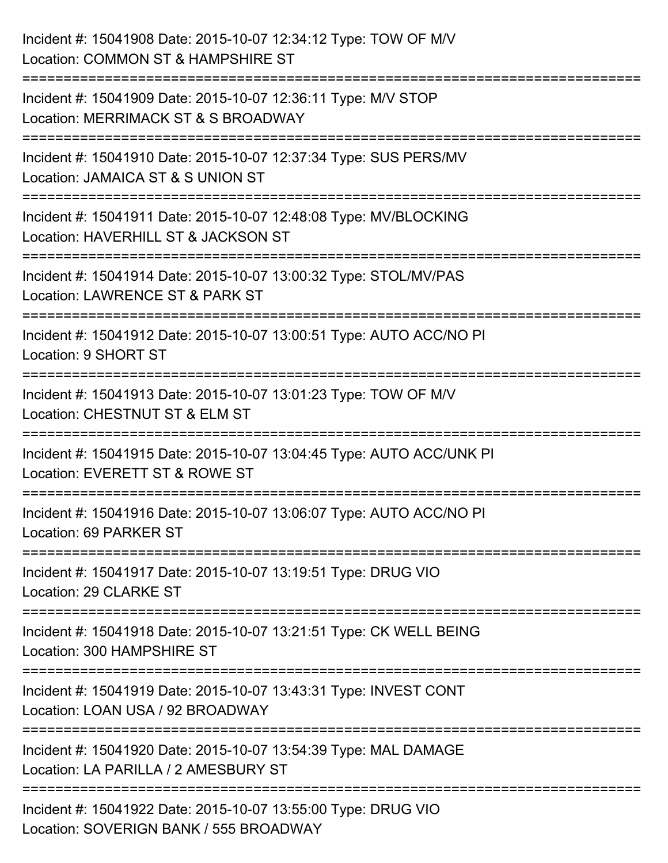| Incident #: 15041908 Date: 2015-10-07 12:34:12 Type: TOW OF M/V<br>Location: COMMON ST & HAMPSHIRE ST                                         |
|-----------------------------------------------------------------------------------------------------------------------------------------------|
| :=============================<br>Incident #: 15041909 Date: 2015-10-07 12:36:11 Type: M/V STOP<br>Location: MERRIMACK ST & S BROADWAY        |
| Incident #: 15041910 Date: 2015-10-07 12:37:34 Type: SUS PERS/MV<br>Location: JAMAICA ST & S UNION ST<br>==================================== |
| Incident #: 15041911 Date: 2015-10-07 12:48:08 Type: MV/BLOCKING<br>Location: HAVERHILL ST & JACKSON ST                                       |
| Incident #: 15041914 Date: 2015-10-07 13:00:32 Type: STOL/MV/PAS<br>Location: LAWRENCE ST & PARK ST                                           |
| Incident #: 15041912 Date: 2015-10-07 13:00:51 Type: AUTO ACC/NO PI<br>Location: 9 SHORT ST                                                   |
| Incident #: 15041913 Date: 2015-10-07 13:01:23 Type: TOW OF M/V<br>Location: CHESTNUT ST & ELM ST                                             |
| Incident #: 15041915 Date: 2015-10-07 13:04:45 Type: AUTO ACC/UNK PI<br>Location: EVERETT ST & ROWE ST                                        |
| Incident #: 15041916 Date: 2015-10-07 13:06:07 Type: AUTO ACC/NO PI<br>Location: 69 PARKER ST                                                 |
| Incident #: 15041917 Date: 2015-10-07 13:19:51 Type: DRUG VIO<br>Location: 29 CLARKE ST                                                       |
| Incident #: 15041918 Date: 2015-10-07 13:21:51 Type: CK WELL BEING<br>Location: 300 HAMPSHIRE ST                                              |
| Incident #: 15041919 Date: 2015-10-07 13:43:31 Type: INVEST CONT<br>Location: LOAN USA / 92 BROADWAY                                          |
| Incident #: 15041920 Date: 2015-10-07 13:54:39 Type: MAL DAMAGE<br>Location: LA PARILLA / 2 AMESBURY ST                                       |
| Incident #: 15041922 Date: 2015-10-07 13:55:00 Type: DRUG VIO<br>Location: SOVERIGN BANK / 555 BROADWAY                                       |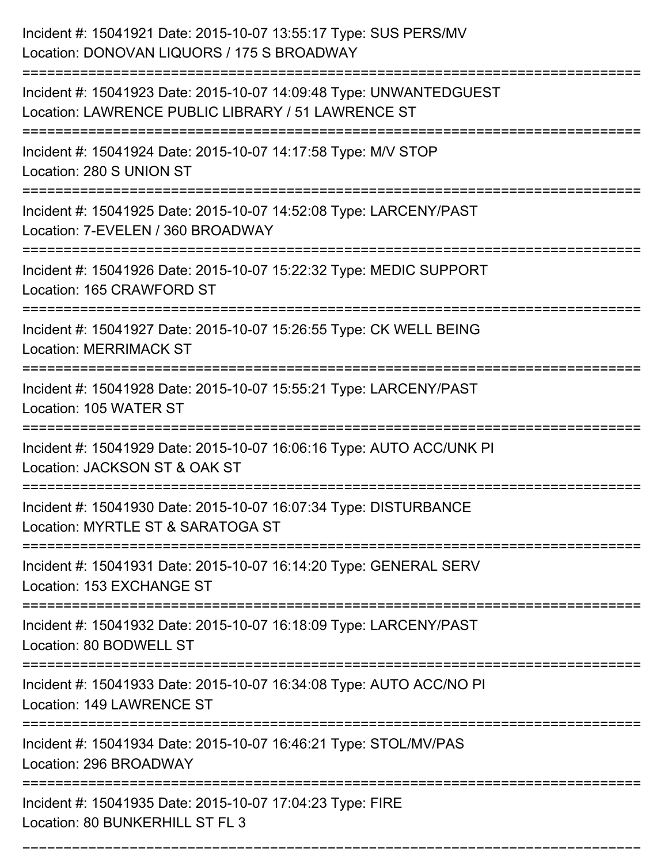| Incident #: 15041921 Date: 2015-10-07 13:55:17 Type: SUS PERS/MV<br>Location: DONOVAN LIQUORS / 175 S BROADWAY                                      |
|-----------------------------------------------------------------------------------------------------------------------------------------------------|
| Incident #: 15041923 Date: 2015-10-07 14:09:48 Type: UNWANTEDGUEST<br>Location: LAWRENCE PUBLIC LIBRARY / 51 LAWRENCE ST                            |
| Incident #: 15041924 Date: 2015-10-07 14:17:58 Type: M/V STOP<br>Location: 280 S UNION ST                                                           |
| Incident #: 15041925 Date: 2015-10-07 14:52:08 Type: LARCENY/PAST<br>Location: 7-EVELEN / 360 BROADWAY                                              |
| Incident #: 15041926 Date: 2015-10-07 15:22:32 Type: MEDIC SUPPORT<br>Location: 165 CRAWFORD ST                                                     |
| Incident #: 15041927 Date: 2015-10-07 15:26:55 Type: CK WELL BEING<br><b>Location: MERRIMACK ST</b>                                                 |
| Incident #: 15041928 Date: 2015-10-07 15:55:21 Type: LARCENY/PAST<br>Location: 105 WATER ST                                                         |
| Incident #: 15041929 Date: 2015-10-07 16:06:16 Type: AUTO ACC/UNK PI<br>Location: JACKSON ST & OAK ST                                               |
| Incident #: 15041930 Date: 2015-10-07 16:07:34 Type: DISTURBANCE<br>Location: MYRTLE ST & SARATOGA ST                                               |
| Incident #: 15041931 Date: 2015-10-07 16:14:20 Type: GENERAL SERV<br>Location: 153 EXCHANGE ST                                                      |
| Incident #: 15041932 Date: 2015-10-07 16:18:09 Type: LARCENY/PAST<br>Location: 80 BODWELL ST                                                        |
| Incident #: 15041933 Date: 2015-10-07 16:34:08 Type: AUTO ACC/NO PI<br>Location: 149 LAWRENCE ST<br>=================<br>-------------------------- |
| Incident #: 15041934 Date: 2015-10-07 16:46:21 Type: STOL/MV/PAS<br>Location: 296 BROADWAY                                                          |
| Incident #: 15041935 Date: 2015-10-07 17:04:23 Type: FIRE<br>Location: 80 BUNKERHILL ST FL 3                                                        |

===========================================================================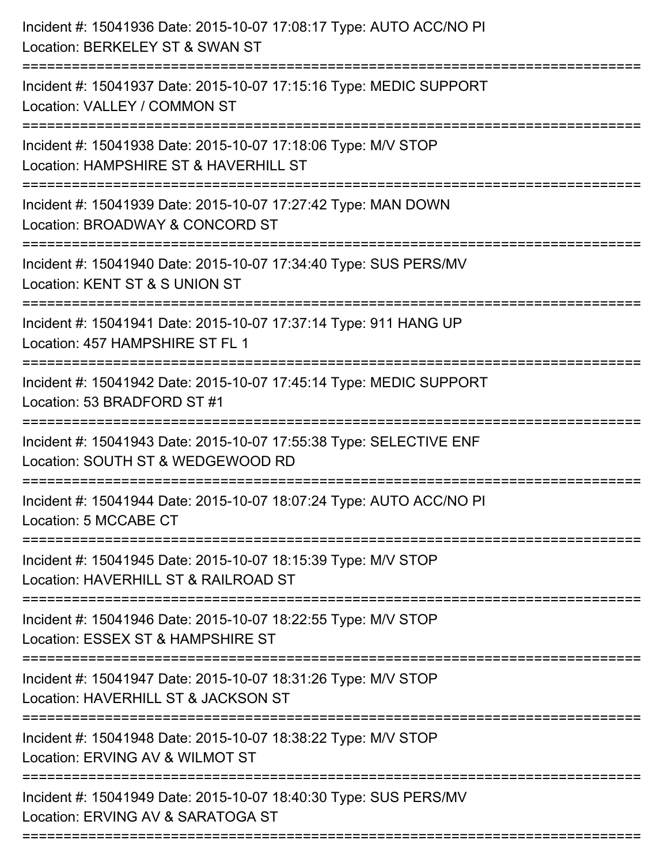| Incident #: 15041936 Date: 2015-10-07 17:08:17 Type: AUTO ACC/NO PI<br>Location: BERKELEY ST & SWAN ST                                                          |
|-----------------------------------------------------------------------------------------------------------------------------------------------------------------|
| Incident #: 15041937 Date: 2015-10-07 17:15:16 Type: MEDIC SUPPORT<br>Location: VALLEY / COMMON ST                                                              |
| Incident #: 15041938 Date: 2015-10-07 17:18:06 Type: M/V STOP<br>Location: HAMPSHIRE ST & HAVERHILL ST<br>:==============================                       |
| Incident #: 15041939 Date: 2015-10-07 17:27:42 Type: MAN DOWN<br>Location: BROADWAY & CONCORD ST                                                                |
| Incident #: 15041940 Date: 2015-10-07 17:34:40 Type: SUS PERS/MV<br>Location: KENT ST & S UNION ST                                                              |
| Incident #: 15041941 Date: 2015-10-07 17:37:14 Type: 911 HANG UP<br>Location: 457 HAMPSHIRE ST FL 1                                                             |
| Incident #: 15041942 Date: 2015-10-07 17:45:14 Type: MEDIC SUPPORT<br>Location: 53 BRADFORD ST #1<br>===============================<br>======================= |
| Incident #: 15041943 Date: 2015-10-07 17:55:38 Type: SELECTIVE ENF<br>Location: SOUTH ST & WEDGEWOOD RD                                                         |
| Incident #: 15041944 Date: 2015-10-07 18:07:24 Type: AUTO ACC/NO PI<br>Location: 5 MCCABE CT                                                                    |
| Incident #: 15041945 Date: 2015-10-07 18:15:39 Type: M/V STOP<br>Location: HAVERHILL ST & RAILROAD ST                                                           |
| Incident #: 15041946 Date: 2015-10-07 18:22:55 Type: M/V STOP<br>Location: ESSEX ST & HAMPSHIRE ST                                                              |
| Incident #: 15041947 Date: 2015-10-07 18:31:26 Type: M/V STOP<br>Location: HAVERHILL ST & JACKSON ST                                                            |
| Incident #: 15041948 Date: 2015-10-07 18:38:22 Type: M/V STOP<br>Location: ERVING AV & WILMOT ST                                                                |
| Incident #: 15041949 Date: 2015-10-07 18:40:30 Type: SUS PERS/MV<br>Location: ERVING AV & SARATOGA ST                                                           |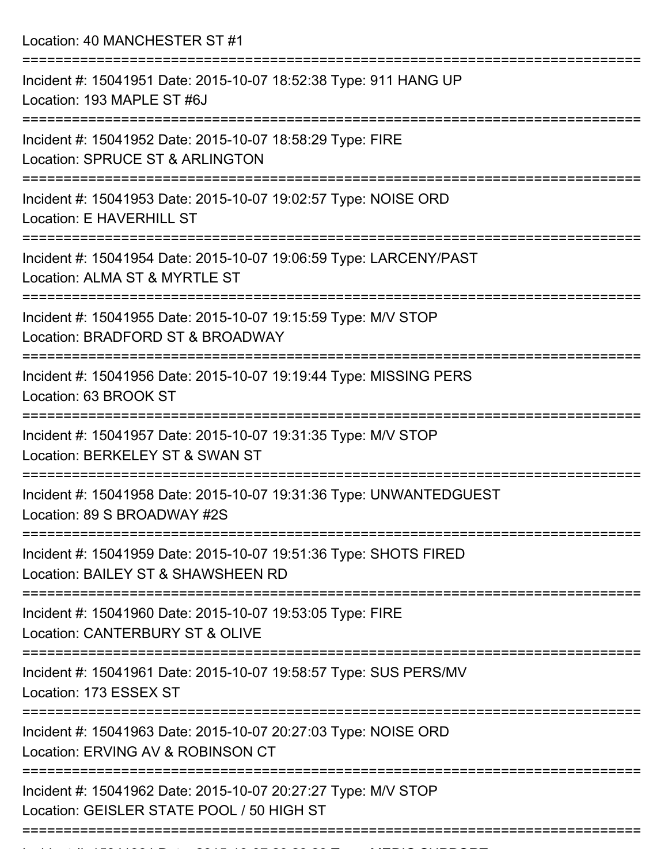Location: 40 MANCHESTER ST #1

| Incident #: 15041951 Date: 2015-10-07 18:52:38 Type: 911 HANG UP<br>Location: 193 MAPLE ST #6J             |
|------------------------------------------------------------------------------------------------------------|
| Incident #: 15041952 Date: 2015-10-07 18:58:29 Type: FIRE<br>Location: SPRUCE ST & ARLINGTON               |
| Incident #: 15041953 Date: 2015-10-07 19:02:57 Type: NOISE ORD<br>Location: E HAVERHILL ST                 |
| Incident #: 15041954 Date: 2015-10-07 19:06:59 Type: LARCENY/PAST<br>Location: ALMA ST & MYRTLE ST         |
| Incident #: 15041955 Date: 2015-10-07 19:15:59 Type: M/V STOP<br>Location: BRADFORD ST & BROADWAY          |
| Incident #: 15041956 Date: 2015-10-07 19:19:44 Type: MISSING PERS<br>Location: 63 BROOK ST                 |
| Incident #: 15041957 Date: 2015-10-07 19:31:35 Type: M/V STOP<br>Location: BERKELEY ST & SWAN ST           |
| Incident #: 15041958 Date: 2015-10-07 19:31:36 Type: UNWANTEDGUEST<br>Location: 89 S BROADWAY #2S          |
| Incident #: 15041959 Date: 2015-10-07 19:51:36 Type: SHOTS FIRED<br>Location: BAILEY ST & SHAWSHEEN RD     |
| Incident #: 15041960 Date: 2015-10-07 19:53:05 Type: FIRE<br>Location: CANTERBURY ST & OLIVE               |
| Incident #: 15041961 Date: 2015-10-07 19:58:57 Type: SUS PERS/MV<br>Location: 173 ESSEX ST                 |
| Incident #: 15041963 Date: 2015-10-07 20:27:03 Type: NOISE ORD<br>Location: ERVING AV & ROBINSON CT        |
| Incident #: 15041962 Date: 2015-10-07 20:27:27 Type: M/V STOP<br>Location: GEISLER STATE POOL / 50 HIGH ST |
|                                                                                                            |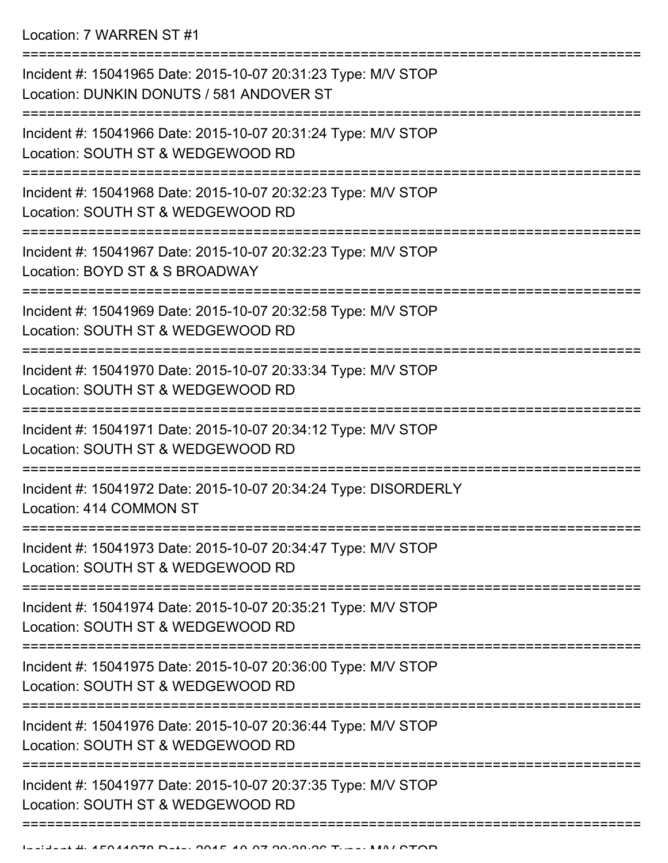| Incident #: 15041965 Date: 2015-10-07 20:31:23 Type: M/V STOP<br>Location: DUNKIN DONUTS / 581 ANDOVER ST |
|-----------------------------------------------------------------------------------------------------------|
| Incident #: 15041966 Date: 2015-10-07 20:31:24 Type: M/V STOP<br>Location: SOUTH ST & WEDGEWOOD RD        |
| Incident #: 15041968 Date: 2015-10-07 20:32:23 Type: M/V STOP<br>Location: SOUTH ST & WEDGEWOOD RD        |
| Incident #: 15041967 Date: 2015-10-07 20:32:23 Type: M/V STOP<br>Location: BOYD ST & S BROADWAY           |
| Incident #: 15041969 Date: 2015-10-07 20:32:58 Type: M/V STOP<br>Location: SOUTH ST & WEDGEWOOD RD        |
| Incident #: 15041970 Date: 2015-10-07 20:33:34 Type: M/V STOP<br>Location: SOUTH ST & WEDGEWOOD RD        |
| Incident #: 15041971 Date: 2015-10-07 20:34:12 Type: M/V STOP<br>Location: SOUTH ST & WEDGEWOOD RD        |
| Incident #: 15041972 Date: 2015-10-07 20:34:24 Type: DISORDERLY<br>Location: 414 COMMON ST                |
| Incident #: 15041973 Date: 2015-10-07 20:34:47 Type: M/V STOP<br>Location: SOUTH ST & WEDGEWOOD RD        |
| Incident #: 15041974 Date: 2015-10-07 20:35:21 Type: M/V STOP<br>Location: SOUTH ST & WEDGEWOOD RD        |
| Incident #: 15041975 Date: 2015-10-07 20:36:00 Type: M/V STOP<br>Location: SOUTH ST & WEDGEWOOD RD        |
| Incident #: 15041976 Date: 2015-10-07 20:36:44 Type: M/V STOP<br>Location: SOUTH ST & WEDGEWOOD RD        |
| Incident #: 15041977 Date: 2015-10-07 20:37:35 Type: M/V STOP<br>Location: SOUTH ST & WEDGEWOOD RD        |
|                                                                                                           |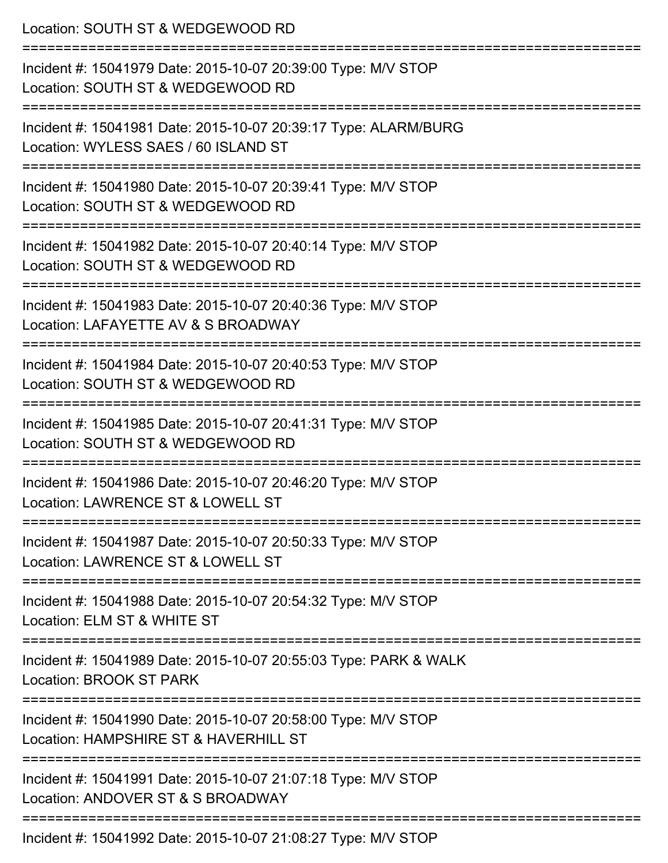| Location: SOUTH ST & WEDGEWOOD RD<br>============================                                                                    |
|--------------------------------------------------------------------------------------------------------------------------------------|
| Incident #: 15041979 Date: 2015-10-07 20:39:00 Type: M/V STOP<br>Location: SOUTH ST & WEDGEWOOD RD                                   |
| Incident #: 15041981 Date: 2015-10-07 20:39:17 Type: ALARM/BURG<br>Location: WYLESS SAES / 60 ISLAND ST                              |
| Incident #: 15041980 Date: 2015-10-07 20:39:41 Type: M/V STOP<br>Location: SOUTH ST & WEDGEWOOD RD<br>=======================        |
| Incident #: 15041982 Date: 2015-10-07 20:40:14 Type: M/V STOP<br>Location: SOUTH ST & WEDGEWOOD RD                                   |
| Incident #: 15041983 Date: 2015-10-07 20:40:36 Type: M/V STOP<br>Location: LAFAYETTE AV & S BROADWAY                                 |
| :=============================<br>Incident #: 15041984 Date: 2015-10-07 20:40:53 Type: M/V STOP<br>Location: SOUTH ST & WEDGEWOOD RD |
| Incident #: 15041985 Date: 2015-10-07 20:41:31 Type: M/V STOP<br>Location: SOUTH ST & WEDGEWOOD RD                                   |
| ----------------------------<br>Incident #: 15041986 Date: 2015-10-07 20:46:20 Type: M/V STOP<br>Location: LAWRENCE ST & LOWELL ST   |
| Incident #: 15041987 Date: 2015-10-07 20:50:33 Type: M/V STOP<br>Location: LAWRENCE ST & LOWELL ST                                   |
| Incident #: 15041988 Date: 2015-10-07 20:54:32 Type: M/V STOP<br>Location: ELM ST & WHITE ST                                         |
| Incident #: 15041989 Date: 2015-10-07 20:55:03 Type: PARK & WALK<br>Location: BROOK ST PARK                                          |
| Incident #: 15041990 Date: 2015-10-07 20:58:00 Type: M/V STOP<br>Location: HAMPSHIRE ST & HAVERHILL ST                               |
| Incident #: 15041991 Date: 2015-10-07 21:07:18 Type: M/V STOP<br>Location: ANDOVER ST & S BROADWAY                                   |
| Incident #: 15041992 Date: 2015-10-07 21:08:27 Type: M/V STOP                                                                        |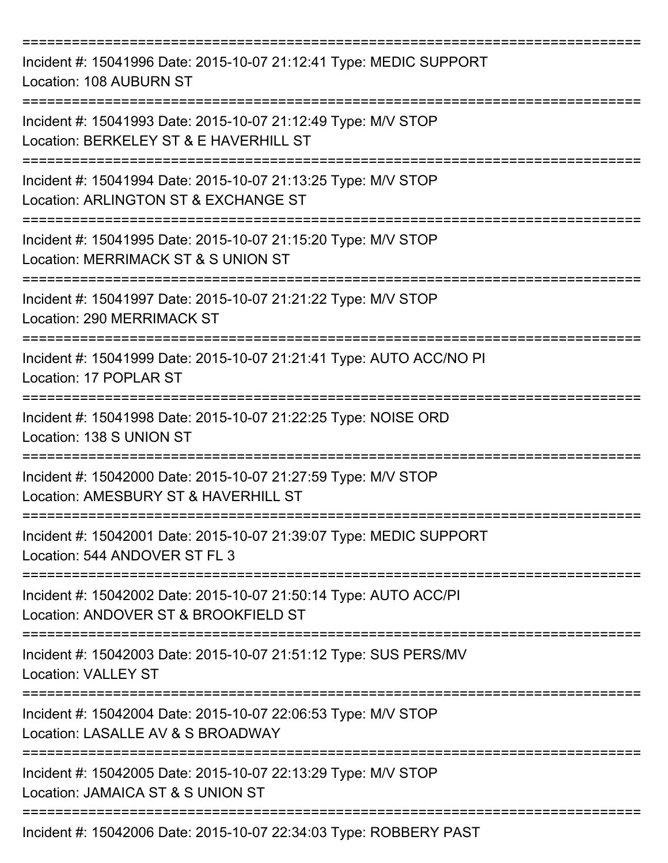| Incident #: 15041996 Date: 2015-10-07 21:12:41 Type: MEDIC SUPPORT<br>Location: 108 AUBURN ST                                 |
|-------------------------------------------------------------------------------------------------------------------------------|
| Incident #: 15041993 Date: 2015-10-07 21:12:49 Type: M/V STOP<br>Location: BERKELEY ST & E HAVERHILL ST                       |
| Incident #: 15041994 Date: 2015-10-07 21:13:25 Type: M/V STOP<br>Location: ARLINGTON ST & EXCHANGE ST<br>:=================== |
| Incident #: 15041995 Date: 2015-10-07 21:15:20 Type: M/V STOP<br>Location: MERRIMACK ST & S UNION ST                          |
| Incident #: 15041997 Date: 2015-10-07 21:21:22 Type: M/V STOP<br><b>Location: 290 MERRIMACK ST</b>                            |
| Incident #: 15041999 Date: 2015-10-07 21:21:41 Type: AUTO ACC/NO PI<br>Location: 17 POPLAR ST                                 |
| Incident #: 15041998 Date: 2015-10-07 21:22:25 Type: NOISE ORD<br>Location: 138 S UNION ST                                    |
| Incident #: 15042000 Date: 2015-10-07 21:27:59 Type: M/V STOP<br>Location: AMESBURY ST & HAVERHILL ST                         |
| Incident #: 15042001 Date: 2015-10-07 21:39:07 Type: MEDIC SUPPORT<br>Location: 544 ANDOVER ST FL 3                           |
| Incident #: 15042002 Date: 2015-10-07 21:50:14 Type: AUTO ACC/PI<br>Location: ANDOVER ST & BROOKFIELD ST                      |
| Incident #: 15042003 Date: 2015-10-07 21:51:12 Type: SUS PERS/MV<br><b>Location: VALLEY ST</b><br>=====================       |
| Incident #: 15042004 Date: 2015-10-07 22:06:53 Type: M/V STOP<br>Location: LASALLE AV & S BROADWAY                            |
| Incident #: 15042005 Date: 2015-10-07 22:13:29 Type: M/V STOP<br>Location: JAMAICA ST & S UNION ST                            |
| Incident #: 15042006 Date: 2015-10-07 22:34:03 Type: ROBBERY PAST                                                             |